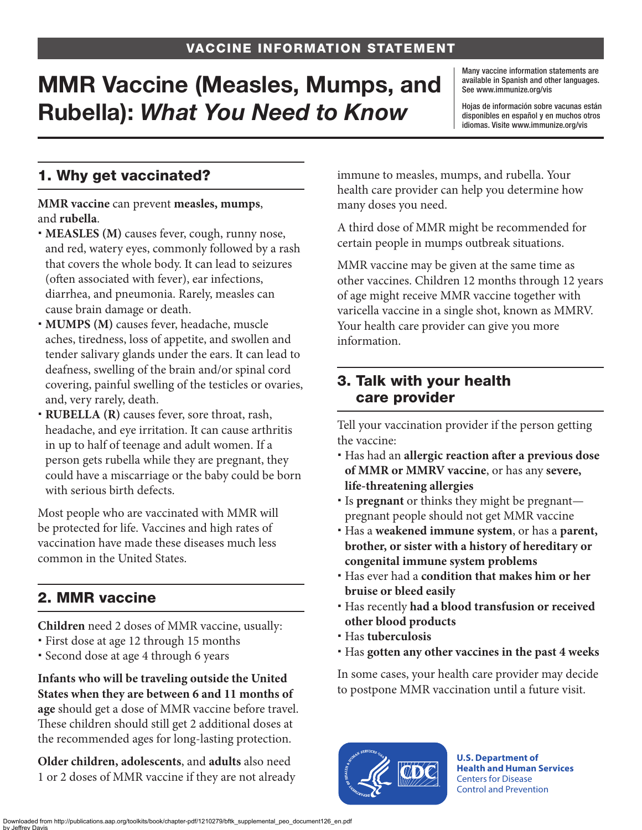# MMR Vaccine (Measles, Mumps, and Rubella): *What You Need to Know*

Many vaccine information statements are available in Spanish and other languages. See [www.immunize.org/vis](http://www.immunize.org/vis)

Hojas de información sobre vacunas están disponibles en español y en muchos otros idiomas. Visite [www.immunize.org/vis](http://www.immunize.org/vis)

# 1. Why get vaccinated?

**MMR vaccine** can prevent **measles, mumps**, and **rubella**.

- **MEASLES (M)** causes fever, cough, runny nose, and red, watery eyes, commonly followed by a rash that covers the whole body. It can lead to seizures (often associated with fever), ear infections, diarrhea, and pneumonia. Rarely, measles can cause brain damage or death.
- **MUMPS (M)** causes fever, headache, muscle aches, tiredness, loss of appetite, and swollen and tender salivary glands under the ears. It can lead to deafness, swelling of the brain and/or spinal cord covering, painful swelling of the testicles or ovaries, and, very rarely, death.
- **RUBELLA (R)** causes fever, sore throat, rash, headache, and eye irritation. It can cause arthritis in up to half of teenage and adult women. If a person gets rubella while they are pregnant, they could have a miscarriage or the baby could be born with serious birth defects.

Most people who are vaccinated with MMR will be protected for life. Vaccines and high rates of vaccination have made these diseases much less common in the United States.

# 2. MMR vaccine

**Children** need 2 doses of MMR vaccine, usually:

- First dose at age 12 through 15 months
- Second dose at age 4 through 6 years

**Infants who will be traveling outside the United States when they are between 6 and 11 months of age** should get a dose of MMR vaccine before travel. These children should still get 2 additional doses at the recommended ages for long-lasting protection.

**Older children, adolescents**, and **adults** also need 1 or 2 doses of MMR vaccine if they are not already immune to measles, mumps, and rubella. Your health care provider can help you determine how many doses you need.

A third dose of MMR might be recommended for certain people in mumps outbreak situations.

MMR vaccine may be given at the same time as other vaccines. Children 12 months through 12 years of age might receive MMR vaccine together with varicella vaccine in a single shot, known as MMRV. Your health care provider can give you more information.

### 3. Talk with your health care provider

Tell your vaccination provider if the person getting the vaccine:

- Has had an **allergic reaction after a previous dose of MMR or MMRV vaccine**, or has any **severe, life-threatening allergies**
- Is **pregnant** or thinks they might be pregnant pregnant people should not get MMR vaccine
- Has a **weakened immune system**, or has a **parent, brother, or sister with a history of hereditary or congenital immune system problems**
- Has ever had a **condition that makes him or her bruise or bleed easily**
- Has recently **had a blood transfusion or received other blood products**
- Has **tuberculosis**
- Has **gotten any other vaccines in the past 4 weeks**

In some cases, your health care provider may decide to postpone MMR vaccination until a future visit.



**U.S. Department of Health and Human Services**  Centers for Disease Control and Prevention

Downloaded from http://publications.aap.org/toolkits/book/chapter-pdf/1210279/bftk\_supplemental\_peo\_document126\_en.pdf by Jeffrey Davis